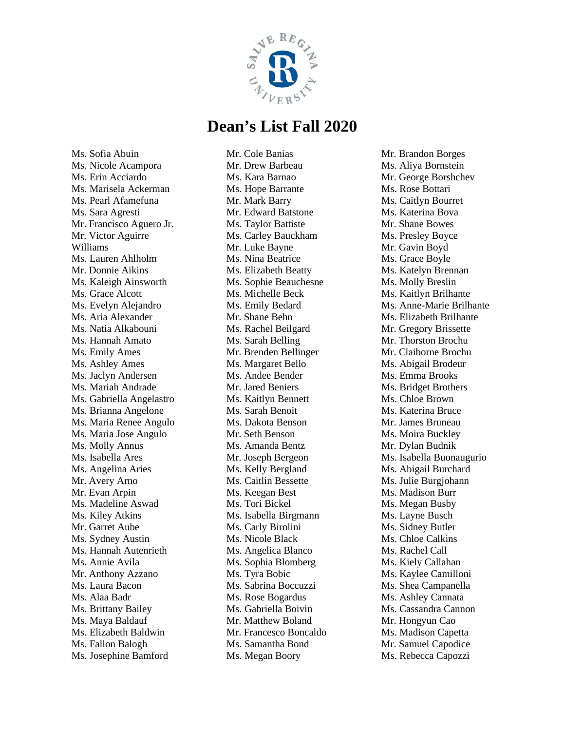

Ms. Sofia Abuin Ms. Nicole Acampora Ms. Erin Acciardo Ms. Marisela Ackerman Ms. Pearl Afamefuna Ms. Sara Agresti Mr. Francisco Aguero Jr. Mr. Victor Aguirre Williams Ms. Lauren Ahlholm Mr. Donnie Aikins Ms. Kaleigh Ainsworth Ms. Grace Alcott Ms. Evelyn Alejandro Ms. Aria Alexander Ms. Natia Alkabouni Ms. Hannah Amato Ms. Emily Ames Ms. Ashley Ames Ms. Jaclyn Andersen Ms. Mariah Andrade Ms. Gabriella Angelastro Ms. Brianna Angelone Ms. Maria Renee Angulo Ms. Maria Jose Angulo Ms. Molly Annus Ms. Isabella Ares Ms. Angelina Aries Mr. Avery Arno Mr. Evan Arpin Ms. Madeline Aswad Ms. Kiley Atkins Mr. Garret Aube Ms. Sydney Austin Ms. Hannah Autenrieth Ms. Annie Avila Mr. Anthony Azzano Ms. Laura Bacon Ms. Alaa Badr Ms. Brittany Bailey Ms. Maya Baldauf Ms. Elizabeth Baldwin Ms. Fallon Balogh Ms. Josephine Bamford

Mr. Cole Banias Mr. Drew Barbeau Ms. Kara Barnao Ms. Hope Barrante Mr. Mark Barry Mr. Edward Batstone Ms. Taylor Battiste Ms. Carley Bauckham Mr. Luke Bayne Ms. Nina Beatrice Ms. Elizabeth Beatty Ms. Sophie Beauchesne Ms. Michelle Beck Ms. Emily Bedard Mr. Shane Behn Ms. Rachel Beilgard Ms. Sarah Belling Mr. Brenden Bellinger Ms. Margaret Bello Ms. Andee Bender Mr. Jared Beniers Ms. Kaitlyn Bennett Ms. Sarah Benoit Ms. Dakota Benson Mr. Seth Benson Ms. Amanda Bentz Mr. Joseph Bergeon Ms. Kelly Bergland Ms. Caitlin Bessette Ms. Keegan Best Ms. Tori Bickel Ms. Isabella Birgmann Ms. Carly Birolini Ms. Nicole Black Ms. Angelica Blanco Ms. Sophia Blomberg Ms. Tyra Bobic Ms. Sabrina Boccuzzi Ms. Rose Bogardus Ms. Gabriella Boivin Mr. Matthew Boland Mr. Francesco Boncaldo Ms. Samantha Bond Ms. Megan Boory

Mr. Brandon Borges Ms. Aliya Bornstein Mr. George Borshchev Ms. Rose Bottari Ms. Caitlyn Bourret Ms. Katerina Bova Mr. Shane Bowes Ms. Presley Boyce Mr. Gavin Boyd Ms. Grace Boyle Ms. Katelyn Brennan Ms. Molly Breslin Ms. Kaitlyn Brilhante Ms. Anne-Marie Brilhante Ms. Elizabeth Brilhante Mr. Gregory Brissette Mr. Thorston Brochu Mr. Claiborne Brochu Ms. Abigail Brodeur Ms. Emma Brooks Ms. Bridget Brothers Ms. Chloe Brown Ms. Katerina Bruce Mr. James Bruneau Ms. Moira Buckley Mr. Dylan Budnik Ms. Isabella Buonaugurio Ms. Abigail Burchard Ms. Julie Burgjohann Ms. Madison Burr Ms. Megan Busby Ms. Layne Busch Ms. Sidney Butler Ms. Chloe Calkins Ms. Rachel Call Ms. Kiely Callahan Ms. Kaylee Camilloni Ms. Shea Campanella Ms. Ashley Cannata Ms. Cassandra Cannon Mr. Hongyun Cao Ms. Madison Capetta Mr. Samuel Capodice Ms. Rebecca Capozzi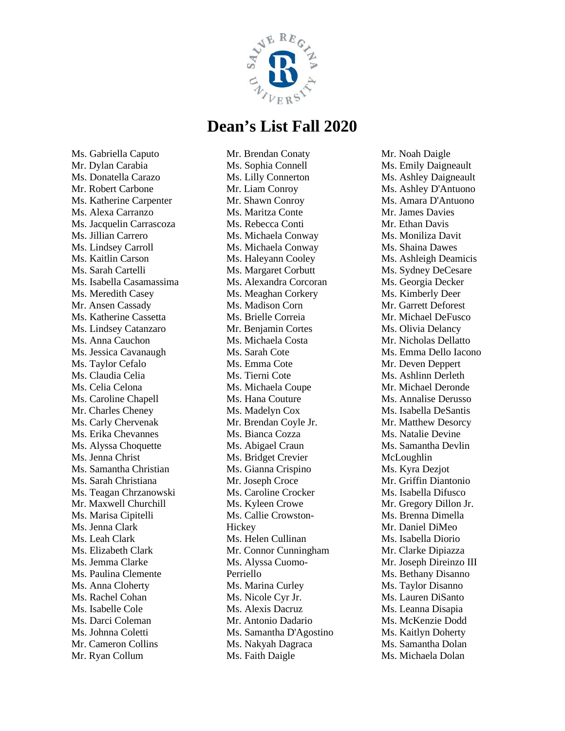

Ms. Gabriella Caputo Mr. Dylan Carabia Ms. Donatella Carazo Mr. Robert Carbone Ms. Katherine Carpenter Ms. Alexa Carranzo Ms. Jacquelin Carrascoza Ms. Jillian Carrero Ms. Lindsey Carroll Ms. Kaitlin Carson Ms. Sarah Cartelli Ms. Isabella Casamassima Ms. Meredith Casey Mr. Ansen Cassady Ms. Katherine Cassetta Ms. Lindsey Catanzaro Ms. Anna Cauchon Ms. Jessica Cavanaugh Ms. Taylor Cefalo Ms. Claudia Celia Ms. Celia Celona Ms. Caroline Chapell Mr. Charles Cheney Ms. Carly Chervenak Ms. Erika Chevannes Ms. Alyssa Choquette Ms. Jenna Christ Ms. Samantha Christian Ms. Sarah Christiana Ms. Teagan Chrzanowski Mr. Maxwell Churchill Ms. Marisa Cipitelli Ms. Jenna Clark Ms. Leah Clark Ms. Elizabeth Clark Ms. Jemma Clarke Ms. Paulina Clemente Ms. Anna Cloherty Ms. Rachel Cohan Ms. Isabelle Cole Ms. Darci Coleman Ms. Johnna Coletti Mr. Cameron Collins Mr. Ryan Collum

Mr. Brendan Conaty Ms. Sophia Connell Ms. Lilly Connerton Mr. Liam Conroy Mr. Shawn Conroy Ms. Maritza Conte Ms. Rebecca Conti Ms. Michaela Conway Ms. Michaela Conway Ms. Haleyann Cooley Ms. Margaret Corbutt Ms. Alexandra Corcoran Ms. Meaghan Corkery Ms. Madison Corn Ms. Brielle Correia Mr. Benjamin Cortes Ms. Michaela Costa Ms. Sarah Cote Ms. Emma Cote Ms. Tierni Cote Ms. Michaela Coupe Ms. Hana Couture Ms. Madelyn Cox Mr. Brendan Coyle Jr. Ms. Bianca Cozza Ms. Abigael Craun Ms. Bridget Crevier Ms. Gianna Crispino Mr. Joseph Croce Ms. Caroline Crocker Ms. Kyleen Crowe Ms. Callie Crowston-**Hickey** Ms. Helen Cullinan Mr. Connor Cunningham Ms. Alyssa Cuomo-Perriello Ms. Marina Curley Ms. Nicole Cyr Jr. Ms. Alexis Dacruz Mr. Antonio Dadario Ms. Samantha D'Agostino Ms. Nakyah Dagraca Ms. Faith Daigle

Mr. Noah Daigle Ms. Emily Daigneault Ms. Ashley Daigneault Ms. Ashley D'Antuono Ms. Amara D'Antuono Mr. James Davies Mr. Ethan Davis Ms. Moniliza Davit Ms. Shaina Dawes Ms. Ashleigh Deamicis Ms. Sydney DeCesare Ms. Georgia Decker Ms. Kimberly Deer Mr. Garrett Deforest Mr. Michael DeFusco Ms. Olivia Delancy Mr. Nicholas Dellatto Ms. Emma Dello Iacono Mr. Deven Deppert Ms. Ashlinn Derleth Mr. Michael Deronde Ms. Annalise Derusso Ms. Isabella DeSantis Mr. Matthew Desorcy Ms. Natalie Devine Ms. Samantha Devlin McLoughlin Ms. Kyra Dezjot Mr. Griffin Diantonio Ms. Isabella Difusco Mr. Gregory Dillon Jr. Ms. Brenna Dimella Mr. Daniel DiMeo Ms. Isabella Diorio Mr. Clarke Dipiazza Mr. Joseph Direinzo III Ms. Bethany Disanno Ms. Taylor Disanno Ms. Lauren DiSanto Ms. Leanna Disapia Ms. McKenzie Dodd Ms. Kaitlyn Doherty Ms. Samantha Dolan Ms. Michaela Dolan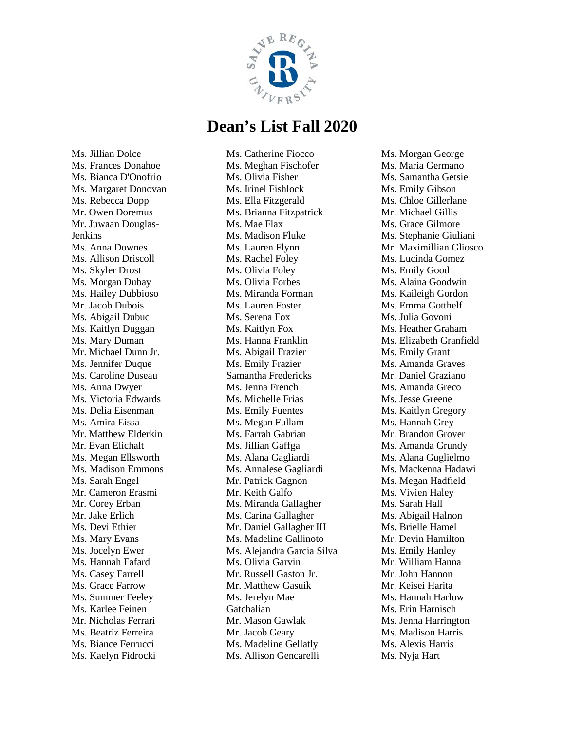

Ms. Jillian Dolce Ms. Frances Donahoe Ms. Bianca D'Onofrio Ms. Margaret Donovan Ms. Rebecca Dopp Mr. Owen Doremus Mr. Juwaan Douglas-Jenkins Ms. Anna Downes Ms. Allison Driscoll Ms. Skyler Drost Ms. Morgan Dubay Ms. Hailey Dubbioso Mr. Jacob Dubois Ms. Abigail Dubuc Ms. Kaitlyn Duggan Ms. Mary Duman Mr. Michael Dunn Jr. Ms. Jennifer Duque Ms. Caroline Duseau Ms. Anna Dwyer Ms. Victoria Edwards Ms. Delia Eisenman Ms. Amira Eissa Mr. Matthew Elderkin Mr. Evan Elichalt Ms. Megan Ellsworth Ms. Madison Emmons Ms. Sarah Engel Mr. Cameron Erasmi Mr. Corey Erban Mr. Jake Erlich Ms. Devi Ethier Ms. Mary Evans Ms. Jocelyn Ewer Ms. Hannah Fafard Ms. Casey Farrell Ms. Grace Farrow Ms. Summer Feeley Ms. Karlee Feinen Mr. Nicholas Ferrari Ms. Beatriz Ferreira Ms. Biance Ferrucci Ms. Kaelyn Fidrocki

Ms. Catherine Fiocco Ms. Meghan Fischofer Ms. Olivia Fisher Ms. Irinel Fishlock Ms. Ella Fitzgerald Ms. Brianna Fitzpatrick Ms. Mae Flax Ms. Madison Fluke Ms. Lauren Flynn Ms. Rachel Foley Ms. Olivia Foley Ms. Olivia Forbes Ms. Miranda Forman Ms. Lauren Foster Ms. Serena Fox Ms. Kaitlyn Fox Ms. Hanna Franklin Ms. Abigail Frazier Ms. Emily Frazier Samantha Fredericks Ms. Jenna French Ms. Michelle Frias Ms. Emily Fuentes Ms. Megan Fullam Ms. Farrah Gabrian Ms. Jillian Gaffga Ms. Alana Gagliardi Ms. Annalese Gagliardi Mr. Patrick Gagnon Mr. Keith Galfo Ms. Miranda Gallagher Ms. Carina Gallagher Mr. Daniel Gallagher III Ms. Madeline Gallinoto Ms. Alejandra Garcia Silva Ms. Olivia Garvin Mr. Russell Gaston Jr. Mr. Matthew Gasuik Ms. Jerelyn Mae Gatchalian Mr. Mason Gawlak Mr. Jacob Geary Ms. Madeline Gellatly Ms. Allison Gencarelli

Ms. Morgan George Ms. Maria Germano Ms. Samantha Getsie Ms. Emily Gibson Ms. Chloe Gillerlane Mr. Michael Gillis Ms. Grace Gilmore Ms. Stephanie Giuliani Mr. Maximillian Gliosco Ms. Lucinda Gomez Ms. Emily Good Ms. Alaina Goodwin Ms. Kaileigh Gordon Ms. Emma Gotthelf Ms. Julia Govoni Ms. Heather Graham Ms. Elizabeth Granfield Ms. Emily Grant Ms. Amanda Graves Mr. Daniel Graziano Ms. Amanda Greco Ms. Jesse Greene Ms. Kaitlyn Gregory Ms. Hannah Grey Mr. Brandon Grover Ms. Amanda Grundy Ms. Alana Guglielmo Ms. Mackenna Hadawi Ms. Megan Hadfield Ms. Vivien Haley Ms. Sarah Hall Ms. Abigail Halnon Ms. Brielle Hamel Mr. Devin Hamilton Ms. Emily Hanley Mr. William Hanna Mr. John Hannon Mr. Keisei Harita Ms. Hannah Harlow Ms. Erin Harnisch Ms. Jenna Harrington Ms. Madison Harris Ms. Alexis Harris Ms. Nyja Hart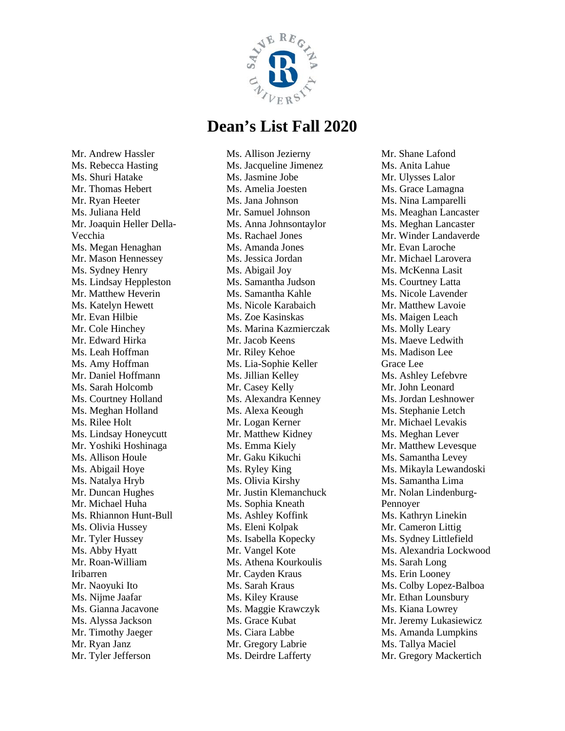

Mr. Andrew Hassler Ms. Rebecca Hasting Ms. Shuri Hatake Mr. Thomas Hebert Mr. Ryan Heeter Ms. Juliana Held Mr. Joaquin Heller Della-Vecchia Ms. Megan Henaghan Mr. Mason Hennessey Ms. Sydney Henry Ms. Lindsay Heppleston Mr. Matthew Heverin Ms. Katelyn Hewett Mr. Evan Hilbie Mr. Cole Hinchey Mr. Edward Hirka Ms. Leah Hoffman Ms. Amy Hoffman Mr. Daniel Hoffmann Ms. Sarah Holcomb Ms. Courtney Holland Ms. Meghan Holland Ms. Rilee Holt Ms. Lindsay Honeycutt Mr. Yoshiki Hoshinaga Ms. Allison Houle Ms. Abigail Hoye Ms. Natalya Hryb Mr. Duncan Hughes Mr. Michael Huha Ms. Rhiannon Hunt-Bull Ms. Olivia Hussey Mr. Tyler Hussey Ms. Abby Hyatt Mr. Roan-William Iribarren Mr. Naoyuki Ito Ms. Nijme Jaafar Ms. Gianna Jacavone Ms. Alyssa Jackson Mr. Timothy Jaeger Mr. Ryan Janz Mr. Tyler Jefferson

Ms. Allison Jezierny Ms. Jacqueline Jimenez Ms. Jasmine Jobe Ms. Amelia Joesten Ms. Jana Johnson Mr. Samuel Johnson Ms. Anna Johnsontaylor Ms. Rachael Jones Ms. Amanda Jones Ms. Jessica Jordan Ms. Abigail Joy Ms. Samantha Judson Ms. Samantha Kahle Ms. Nicole Karabaich Ms. Zoe Kasinskas Ms. Marina Kazmierczak Mr. Jacob Keens Mr. Riley Kehoe Ms. Lia-Sophie Keller Ms. Jillian Kelley Mr. Casey Kelly Ms. Alexandra Kenney Ms. Alexa Keough Mr. Logan Kerner Mr. Matthew Kidney Ms. Emma Kiely Mr. Gaku Kikuchi Ms. Ryley King Ms. Olivia Kirshy Mr. Justin Klemanchuck Ms. Sophia Kneath Ms. Ashley Koffink Ms. Eleni Kolpak Ms. Isabella Kopecky Mr. Vangel Kote Ms. Athena Kourkoulis Mr. Cayden Kraus Ms. Sarah Kraus Ms. Kiley Krause Ms. Maggie Krawczyk Ms. Grace Kubat Ms. Ciara Labbe Mr. Gregory Labrie Ms. Deirdre Lafferty

Mr. Shane Lafond Ms. Anita Lahue Mr. Ulysses Lalor Ms. Grace Lamagna Ms. Nina Lamparelli Ms. Meaghan Lancaster Ms. Meghan Lancaster Mr. Winder Landaverde Mr. Evan Laroche Mr. Michael Larovera Ms. McKenna Lasit Ms. Courtney Latta Ms. Nicole Lavender Mr. Matthew Lavoie Ms. Maigen Leach Ms. Molly Leary Ms. Maeve Ledwith Ms. Madison Lee Grace Lee Ms. Ashley Lefebvre Mr. John Leonard Ms. Jordan Leshnower Ms. Stephanie Letch Mr. Michael Levakis Ms. Meghan Lever Mr. Matthew Levesque Ms. Samantha Levey Ms. Mikayla Lewandoski Ms. Samantha Lima Mr. Nolan Lindenburg-Pennoyer Ms. Kathryn Linekin Mr. Cameron Littig Ms. Sydney Littlefield Ms. Alexandria Lockwood Ms. Sarah Long Ms. Erin Looney Ms. Colby Lopez-Balboa Mr. Ethan Lounsbury Ms. Kiana Lowrey Mr. Jeremy Lukasiewicz Ms. Amanda Lumpkins Ms. Tallya Maciel Mr. Gregory Mackertich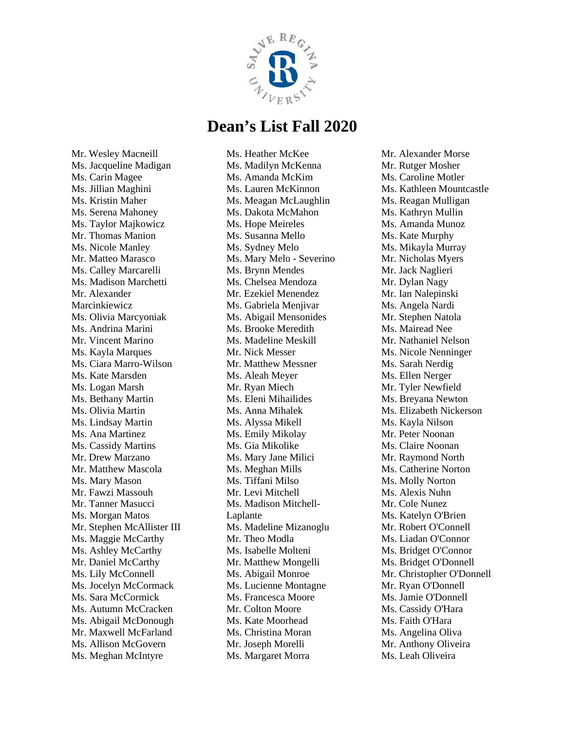

Mr. Wesley Macneill Ms. Jacqueline Madigan Ms. Carin Magee Ms. Jillian Maghini Ms. Kristin Maher Ms. Serena Mahoney Ms. Taylor Majkowicz Mr. Thomas Manion Ms. Nicole Manley Mr. Matteo Marasco Ms. Calley Marcarelli Ms. Madison Marchetti Mr. Alexander Marcinkiewicz Ms. Olivia Marcyoniak Ms. Andrina Marini Mr. Vincent Marino Ms. Kayla Marques Ms. Ciara Marro-Wilson Ms. Kate Marsden Ms. Logan Marsh Ms. Bethany Martin Ms. Olivia Martin Ms. Lindsay Martin Ms. Ana Martinez Ms. Cassidy Martins Mr. Drew Marzano Mr. Matthew Mascola Ms. Mary Mason Mr. Fawzi Massouh Mr. Tanner Masucci Ms. Morgan Matos Mr. Stephen McAllister III Ms. Maggie McCarthy Ms. Ashley McCarthy Mr. Daniel McCarthy Ms. Lily McConnell Ms. Jocelyn McCormack Ms. Sara McCormick Ms. Autumn McCracken Ms. Abigail McDonough Mr. Maxwell McFarland Ms. Allison McGovern Ms. Meghan McIntyre

Ms. Heather McKee Ms. Madilyn McKenna Ms. Amanda McKim Ms. Lauren McKinnon Ms. Meagan McLaughlin Ms. Dakota McMahon Ms. Hope Meireles Ms. Susanna Mello Ms. Sydney Melo Ms. Mary Melo - Severino Ms. Brynn Mendes Ms. Chelsea Mendoza Mr. Ezekiel Menendez Ms. Gabriela Menjivar Ms. Abigail Mensonides Ms. Brooke Meredith Ms. Madeline Meskill Mr. Nick Messer Mr. Matthew Messner Ms. Aleah Meyer Mr. Ryan Miech Ms. Eleni Mihailides Ms. Anna Mihalek Ms. Alyssa Mikell Ms. Emily Mikolay Ms. Gia Mikolike Ms. Mary Jane Milici Ms. Meghan Mills Ms. Tiffani Milso Mr. Levi Mitchell Ms. Madison Mitchell-Laplante Ms. Madeline Mizanoglu Mr. Theo Modla Ms. Isabelle Molteni Mr. Matthew Mongelli Ms. Abigail Monroe Ms. Lucienne Montagne Ms. Francesca Moore Mr. Colton Moore Ms. Kate Moorhead Ms. Christina Moran Mr. Joseph Morelli Ms. Margaret Morra

Mr. Alexander Morse Mr. Rutger Mosher Ms. Caroline Motler Ms. Kathleen Mountcastle Ms. Reagan Mulligan Ms. Kathryn Mullin Ms. Amanda Munoz Ms. Kate Murphy Ms. Mikayla Murray Mr. Nicholas Myers Mr. Jack Naglieri Mr. Dylan Nagy Mr. Ian Nalepinski Ms. Angela Nardi Mr. Stephen Natola Ms. Mairead Nee Mr. Nathaniel Nelson Ms. Nicole Nenninger Ms. Sarah Nerdig Ms. Ellen Nerger Mr. Tyler Newfield Ms. Breyana Newton Ms. Elizabeth Nickerson Ms. Kayla Nilson Mr. Peter Noonan Ms. Claire Noonan Mr. Raymond North Ms. Catherine Norton Ms. Molly Norton Ms. Alexis Nuhn Mr. Cole Nunez Ms. Katelyn O'Brien Mr. Robert O'Connell Ms. Liadan O'Connor Ms. Bridget O'Connor Ms. Bridget O'Donnell Mr. Christopher O'Donnell Mr. Ryan O'Donnell Ms. Jamie O'Donnell Ms. Cassidy O'Hara Ms. Faith O'Hara Ms. Angelina Oliva Mr. Anthony Oliveira Ms. Leah Oliveira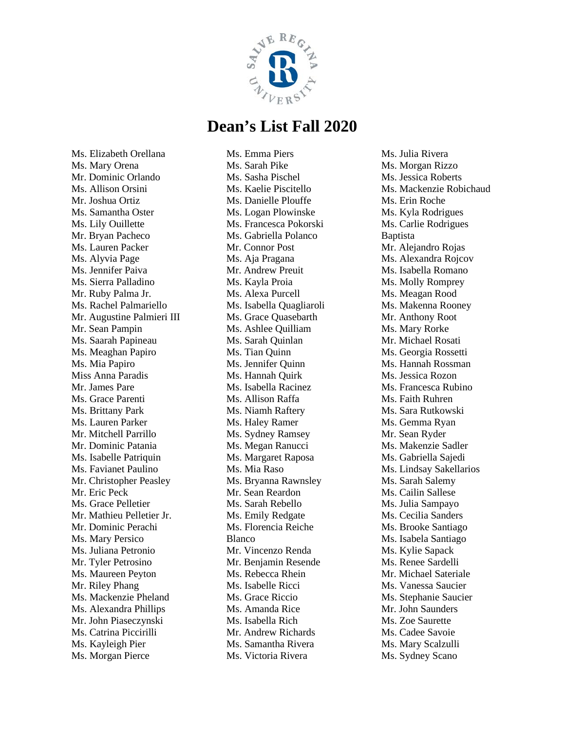

Ms. Elizabeth Orellana Ms. Mary Orena Mr. Dominic Orlando Ms. Allison Orsini Mr. Joshua Ortiz Ms. Samantha Oster Ms. Lily Ouillette Mr. Bryan Pacheco Ms. Lauren Packer Ms. Alyvia Page Ms. Jennifer Paiva Ms. Sierra Palladino Mr. Ruby Palma Jr. Ms. Rachel Palmariello Mr. Augustine Palmieri III Mr. Sean Pampin Ms. Saarah Papineau Ms. Meaghan Papiro Ms. Mia Papiro Miss Anna Paradis Mr. James Pare Ms. Grace Parenti Ms. Brittany Park Ms. Lauren Parker Mr. Mitchell Parrillo Mr. Dominic Patania Ms. Isabelle Patriquin Ms. Favianet Paulino Mr. Christopher Peasley Mr. Eric Peck Ms. Grace Pelletier Mr. Mathieu Pelletier Jr. Mr. Dominic Perachi Ms. Mary Persico Ms. Juliana Petronio Mr. Tyler Petrosino Ms. Maureen Peyton Mr. Riley Phang Ms. Mackenzie Pheland Ms. Alexandra Phillips Mr. John Piaseczynski Ms. Catrina Piccirilli Ms. Kayleigh Pier Ms. Morgan Pierce

Ms. Emma Piers Ms. Sarah Pike Ms. Sasha Pischel Ms. Kaelie Piscitello Ms. Danielle Plouffe Ms. Logan Plowinske Ms. Francesca Pokorski Ms. Gabriella Polanco Mr. Connor Post Ms. Aja Pragana Mr. Andrew Preuit Ms. Kayla Proia Ms. Alexa Purcell Ms. Isabella Quagliaroli Ms. Grace Quasebarth Ms. Ashlee Quilliam Ms. Sarah Quinlan Ms. Tian Quinn Ms. Jennifer Quinn Ms. Hannah Quirk Ms. Isabella Racinez Ms. Allison Raffa Ms. Niamh Raftery Ms. Haley Ramer Ms. Sydney Ramsey Ms. Megan Ranucci Ms. Margaret Raposa Ms. Mia Raso Ms. Bryanna Rawnsley Mr. Sean Reardon Ms. Sarah Rebello Ms. Emily Redgate Ms. Florencia Reiche Blanco Mr. Vincenzo Renda Mr. Benjamin Resende Ms. Rebecca Rhein Ms. Isabelle Ricci Ms. Grace Riccio Ms. Amanda Rice Ms. Isabella Rich Mr. Andrew Richards Ms. Samantha Rivera Ms. Victoria Rivera

Ms. Julia Rivera Ms. Morgan Rizzo Ms. Jessica Roberts Ms. Mackenzie Robichaud Ms. Erin Roche Ms. Kyla Rodrigues Ms. Carlie Rodrigues Baptista Mr. Alejandro Rojas Ms. Alexandra Rojcov Ms. Isabella Romano Ms. Molly Romprey Ms. Meagan Rood Ms. Makenna Rooney Mr. Anthony Root Ms. Mary Rorke Mr. Michael Rosati Ms. Georgia Rossetti Ms. Hannah Rossman Ms. Jessica Rozon Ms. Francesca Rubino Ms. Faith Ruhren Ms. Sara Rutkowski Ms. Gemma Ryan Mr. Sean Ryder Ms. Makenzie Sadler Ms. Gabriella Sajedi Ms. Lindsay Sakellarios Ms. Sarah Salemy Ms. Cailin Sallese Ms. Julia Sampayo Ms. Cecilia Sanders Ms. Brooke Santiago Ms. Isabela Santiago Ms. Kylie Sapack Ms. Renee Sardelli Mr. Michael Sateriale Ms. Vanessa Saucier Ms. Stephanie Saucier Mr. John Saunders Ms. Zoe Saurette Ms. Cadee Savoie Ms. Mary Scalzulli Ms. Sydney Scano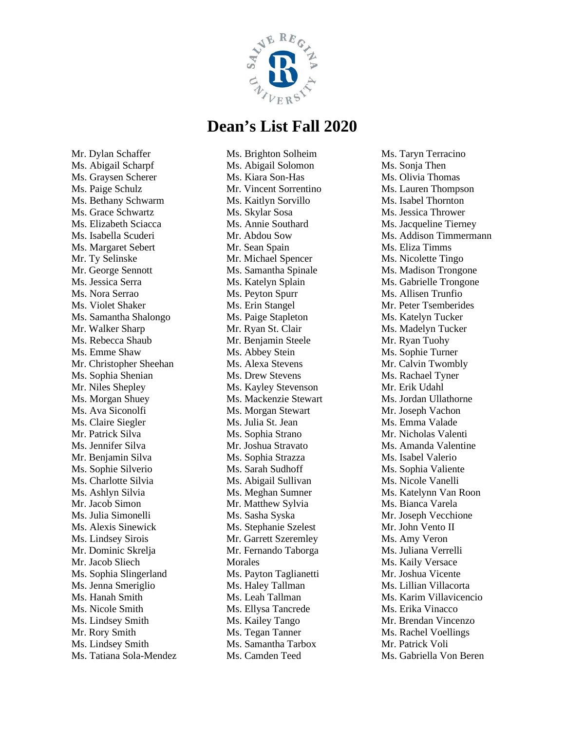

Mr. Dylan Schaffer Ms. Abigail Scharpf Ms. Graysen Scherer Ms. Paige Schulz Ms. Bethany Schwarm Ms. Grace Schwartz Ms. Elizabeth Sciacca Ms. Isabella Scuderi Ms. Margaret Sebert Mr. Ty Selinske Mr. George Sennott Ms. Jessica Serra Ms. Nora Serrao Ms. Violet Shaker Ms. Samantha Shalongo Mr. Walker Sharp Ms. Rebecca Shaub Ms. Emme Shaw Mr. Christopher Sheehan Ms. Sophia Shenian Mr. Niles Shepley Ms. Morgan Shuey Ms. Ava Siconolfi Ms. Claire Siegler Mr. Patrick Silva Ms. Jennifer Silva Mr. Benjamin Silva Ms. Sophie Silverio Ms. Charlotte Silvia Ms. Ashlyn Silvia Mr. Jacob Simon Ms. Julia Simonelli Ms. Alexis Sinewick Ms. Lindsey Sirois Mr. Dominic Skrelja Mr. Jacob Sliech Ms. Sophia Slingerland Ms. Jenna Smeriglio Ms. Hanah Smith Ms. Nicole Smith Ms. Lindsey Smith Mr. Rory Smith Ms. Lindsey Smith Ms. Tatiana Sola-Mendez Ms. Brighton Solheim Ms. Abigail Solomon Ms. Kiara Son-Has Mr. Vincent Sorrentino Ms. Kaitlyn Sorvillo Ms. Skylar Sosa Ms. Annie Southard Mr. Abdou Sow Mr. Sean Spain Mr. Michael Spencer Ms. Samantha Spinale Ms. Katelyn Splain Ms. Peyton Spurr Ms. Erin Stangel Ms. Paige Stapleton Mr. Ryan St. Clair Mr. Benjamin Steele Ms. Abbey Stein Ms. Alexa Stevens Ms. Drew Stevens Ms. Kayley Stevenson Ms. Mackenzie Stewart Ms. Morgan Stewart Ms. Julia St. Jean Ms. Sophia Strano Mr. Joshua Stravato Ms. Sophia Strazza Ms. Sarah Sudhoff Ms. Abigail Sullivan Ms. Meghan Sumner Mr. Matthew Sylvia Ms. Sasha Syska Ms. Stephanie Szelest Mr. Garrett Szeremley Mr. Fernando Taborga Morales Ms. Payton Taglianetti Ms. Haley Tallman Ms. Leah Tallman Ms. Ellysa Tancrede Ms. Kailey Tango Ms. Tegan Tanner Ms. Samantha Tarbox Ms. Camden Teed

Ms. Taryn Terracino Ms. Sonja Then Ms. Olivia Thomas Ms. Lauren Thompson Ms. Isabel Thornton Ms. Jessica Thrower Ms. Jacqueline Tierney Ms. Addison Timmermann Ms. Eliza Timms Ms. Nicolette Tingo Ms. Madison Trongone Ms. Gabrielle Trongone Ms. Allisen Trunfio Mr. Peter Tsemberides Ms. Katelyn Tucker Ms. Madelyn Tucker Mr. Ryan Tuohy Ms. Sophie Turner Mr. Calvin Twombly Ms. Rachael Tyner Mr. Erik Udahl Ms. Jordan Ullathorne Mr. Joseph Vachon Ms. Emma Valade Mr. Nicholas Valenti Ms. Amanda Valentine Ms. Isabel Valerio Ms. Sophia Valiente Ms. Nicole Vanelli Ms. Katelynn Van Roon Ms. Bianca Varela Mr. Joseph Vecchione Mr. John Vento II Ms. Amy Veron Ms. Juliana Verrelli Ms. Kaily Versace Mr. Joshua Vicente Ms. Lillian Villacorta Ms. Karim Villavicencio Ms. Erika Vinacco Mr. Brendan Vincenzo Ms. Rachel Voellings Mr. Patrick Voli Ms. Gabriella Von Beren